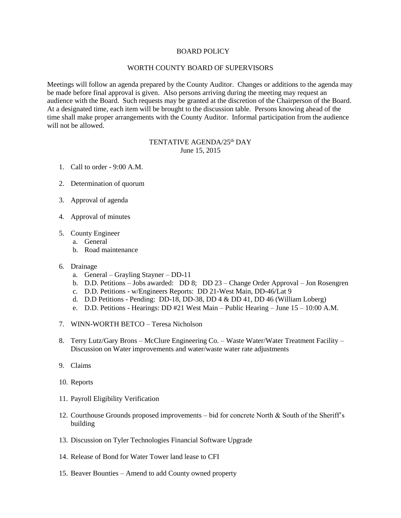## BOARD POLICY

## WORTH COUNTY BOARD OF SUPERVISORS

Meetings will follow an agenda prepared by the County Auditor. Changes or additions to the agenda may be made before final approval is given. Also persons arriving during the meeting may request an audience with the Board. Such requests may be granted at the discretion of the Chairperson of the Board. At a designated time, each item will be brought to the discussion table. Persons knowing ahead of the time shall make proper arrangements with the County Auditor. Informal participation from the audience will not be allowed.

## TENTATIVE AGENDA/25<sup>th</sup> DAY June 15, 2015

- 1. Call to order 9:00 A.M.
- 2. Determination of quorum
- 3. Approval of agenda
- 4. Approval of minutes
- 5. County Engineer
	- a. General
	- b. Road maintenance
- 6. Drainage
	- a. General Grayling Stayner DD-11
	- b. D.D. Petitions Jobs awarded: DD 8; DD 23 Change Order Approval Jon Rosengren
	- c. D.D. Petitions w/Engineers Reports: DD 21-West Main, DD-46/Lat 9
	- d. D.D Petitions Pending: DD-18, DD-38, DD 4 & DD 41, DD 46 (William Loberg)
	- e. D.D. Petitions Hearings: DD #21 West Main Public Hearing June 15 10:00 A.M.
- 7. WINN-WORTH BETCO Teresa Nicholson
- 8. Terry Lutz/Gary Brons McClure Engineering Co. Waste Water/Water Treatment Facility Discussion on Water improvements and water/waste water rate adjustments
- 9. Claims
- 10. Reports
- 11. Payroll Eligibility Verification
- 12. Courthouse Grounds proposed improvements bid for concrete North & South of the Sheriff's building
- 13. Discussion on Tyler Technologies Financial Software Upgrade
- 14. Release of Bond for Water Tower land lease to CFI
- 15. Beaver Bounties Amend to add County owned property